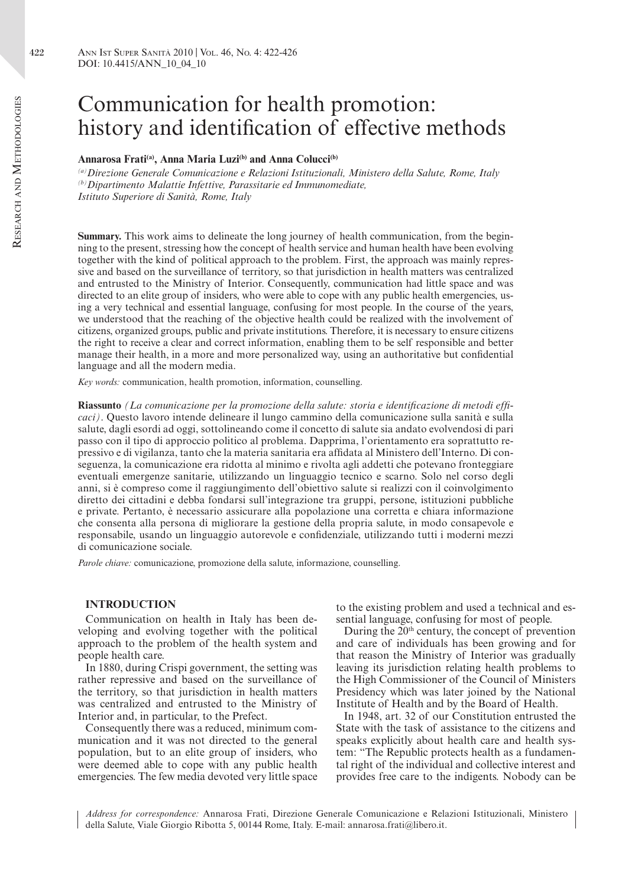# Communication for health promotion: history and identification of effective methods

## Annarosa Frati<sup>(a)</sup>, Anna Maria Luzi<sup>(b)</sup> and Anna Colucci<sup>(b)</sup>

*(a)Direzione Generale Comunicazione e Relazioni Istituzionali, Ministero della Salute, Rome, Italy (b)Dipartimento Malattie Infettive, Parassitarie ed Immunomediate, Istituto Superiore di Sanità, Rome, Italy*

**Summary.** This work aims to delineate the long journey of health communication, from the beginning to the present, stressing how the concept of health service and human health have been evolving together with the kind of political approach to the problem. First, the approach was mainly repressive and based on the surveillance of territory, so that jurisdiction in health matters was centralized and entrusted to the Ministry of Interior. Consequently, communication had little space and was directed to an elite group of insiders, who were able to cope with any public health emergencies, using a very technical and essential language, confusing for most people. In the course of the years, we understood that the reaching of the objective health could be realized with the involvement of citizens, organized groups, public and private institutions. Therefore, it is necessary to ensure citizens the right to receive a clear and correct information, enabling them to be self responsible and better manage their health, in a more and more personalized way, using an authoritative but confidential language and all the modern media.

*Key words:* communication, health promotion, information, counselling.

**Riassunto** *(La comunicazione per la promozione della salute: storia e identificazione di metodi efficaci)*. Questo lavoro intende delineare il lungo cammino della comunicazione sulla sanità e sulla salute, dagli esordi ad oggi, sottolineando come il concetto di salute sia andato evolvendosi di pari passo con il tipo di approccio politico al problema. Dapprima, l'orientamento era soprattutto repressivo e di vigilanza, tanto che la materia sanitaria era affidata al Ministero dell'Interno. Di conseguenza, la comunicazione era ridotta al minimo e rivolta agli addetti che potevano fronteggiare eventuali emergenze sanitarie, utilizzando un linguaggio tecnico e scarno. Solo nel corso degli anni, si è compreso come il raggiungimento dell'obiettivo salute si realizzi con il coinvolgimento diretto dei cittadini e debba fondarsi sull'integrazione tra gruppi, persone, istituzioni pubbliche e private. Pertanto, è necessario assicurare alla popolazione una corretta e chiara informazione che consenta alla persona di migliorare la gestione della propria salute, in modo consapevole e responsabile, usando un linguaggio autorevole e confidenziale, utilizzando tutti i moderni mezzi di comunicazione sociale.

*Parole chiave:* comunicazione, promozione della salute, informazione, counselling.

# **INTRODUCTION**

Communication on health in Italy has been developing and evolving together with the political approach to the problem of the health system and people health care.

In 1880, during Crispi government, the setting was rather repressive and based on the surveillance of the territory, so that jurisdiction in health matters was centralized and entrusted to the Ministry of Interior and, in particular, to the Prefect.

Consequently there was a reduced, minimum communication and it was not directed to the general population, but to an elite group of insiders, who were deemed able to cope with any public health emergencies. The few media devoted very little space

to the existing problem and used a technical and essential language, confusing for most of people.

During the  $20<sup>th</sup>$  century, the concept of prevention and care of individuals has been growing and for that reason the Ministry of Interior was gradually leaving its jurisdiction relating health problems to the High Commissioner of the Council of Ministers Presidency which was later joined by the National Institute of Health and by the Board of Health.

In 1948, art. 32 of our Constitution entrusted the State with the task of assistance to the citizens and speaks explicitly about health care and health system: "The Republic protects health as a fundamental right of the individual and collective interest and provides free care to the indigents. Nobody can be

*Address for correspondence:* Annarosa Frati, Direzione Generale Comunicazione e Relazioni Istituzionali, Ministero della Salute, Viale Giorgio Ribotta 5, 00144 Rome, Italy. E-mail: annarosa.frati@libero.it.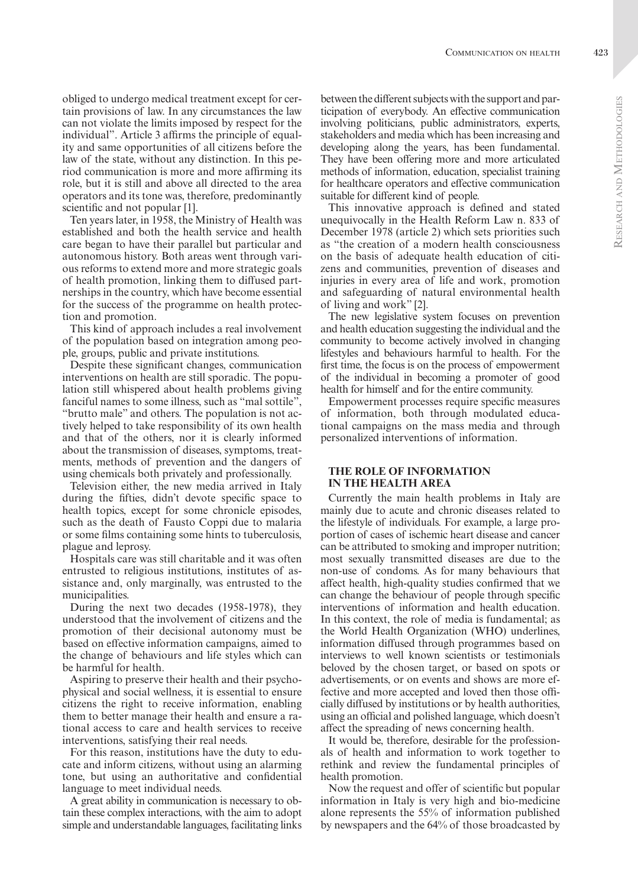obliged to undergo medical treatment except for certain provisions of law. In any circumstances the law can not violate the limits imposed by respect for the individual". Article 3 affirms the principle of equality and same opportunities of all citizens before the law of the state, without any distinction. In this period communication is more and more affirming its role, but it is still and above all directed to the area operators and its tone was, therefore, predominantly scientific and not popular [1].

Ten years later, in 1958, the Ministry of Health was established and both the health service and health care began to have their parallel but particular and autonomous history. Both areas went through various reforms to extend more and more strategic goals of health promotion, linking them to diffused partnerships in the country, which have become essential for the success of the programme on health protection and promotion.

This kind of approach includes a real involvement of the population based on integration among people, groups, public and private institutions.

Despite these significant changes, communication interventions on health are still sporadic. The population still whispered about health problems giving fanciful names to some illness, such as "mal sottile", "brutto male" and others. The population is not actively helped to take responsibility of its own health and that of the others, nor it is clearly informed about the transmission of diseases, symptoms, treatments, methods of prevention and the dangers of using chemicals both privately and professionally.

Television either, the new media arrived in Italy during the fifties, didn't devote specific space to health topics, except for some chronicle episodes, such as the death of Fausto Coppi due to malaria or some films containing some hints to tuberculosis, plague and leprosy.

Hospitals care was still charitable and it was often entrusted to religious institutions, institutes of assistance and, only marginally, was entrusted to the municipalities.

During the next two decades (1958-1978), they understood that the involvement of citizens and the promotion of their decisional autonomy must be based on effective information campaigns, aimed to the change of behaviours and life styles which can be harmful for health.

Aspiring to preserve their health and their psychophysical and social wellness, it is essential to ensure citizens the right to receive information, enabling them to better manage their health and ensure a rational access to care and health services to receive interventions, satisfying their real needs.

For this reason, institutions have the duty to educate and inform citizens, without using an alarming tone, but using an authoritative and confidential language to meet individual needs.

A great ability in communication is necessary to obtain these complex interactions, with the aim to adopt simple and understandable languages, facilitating links

between the different subjects with the support and participation of everybody. An effective communication involving politicians, public administrators, experts, stakeholders and media which has been increasing and developing along the years, has been fundamental. They have been offering more and more articulated methods of information, education, specialist training for healthcare operators and effective communication suitable for different kind of people.

This innovative approach is defined and stated unequivocally in the Health Reform Law n. 833 of December 1978 (article 2) which sets priorities such as "the creation of a modern health consciousness on the basis of adequate health education of citizens and communities, prevention of diseases and injuries in every area of life and work, promotion and safeguarding of natural environmental health of living and work" [2].

The new legislative system focuses on prevention and health education suggesting the individual and the community to become actively involved in changing lifestyles and behaviours harmful to health. For the first time, the focus is on the process of empowerment of the individual in becoming a promoter of good health for himself and for the entire community.

Empowerment processes require specific measures of information, both through modulated educational campaigns on the mass media and through personalized interventions of information.

# **THE ROLE OF INFORMATION IN THE HEALTH AREA**

Currently the main health problems in Italy are mainly due to acute and chronic diseases related to the lifestyle of individuals. For example, a large proportion of cases of ischemic heart disease and cancer can be attributed to smoking and improper nutrition; most sexually transmitted diseases are due to the non-use of condoms. As for many behaviours that affect health, high-quality studies confirmed that we can change the behaviour of people through specific interventions of information and health education. In this context, the role of media is fundamental; as the World Health Organization (WHO) underlines, information diffused through programmes based on interviews to well known scientists or testimonials beloved by the chosen target, or based on spots or advertisements, or on events and shows are more effective and more accepted and loved then those officially diffused by institutions or by health authorities, using an official and polished language, which doesn't affect the spreading of news concerning health.

It would be, therefore, desirable for the professionals of health and information to work together to rethink and review the fundamental principles of health promotion.

Now the request and offer of scientific but popular information in Italy is very high and bio-medicine alone represents the 55% of information published by newspapers and the 64% of those broadcasted by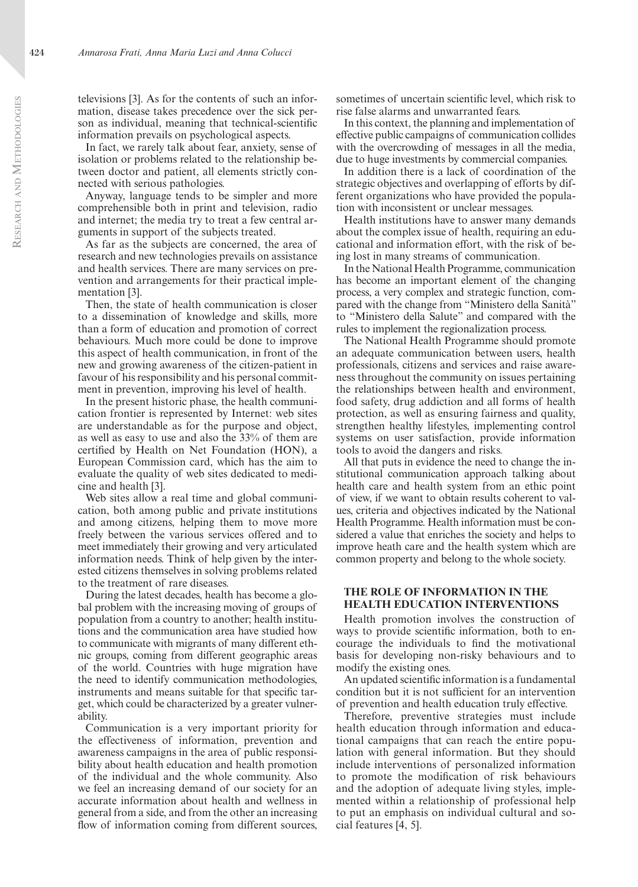televisions [3]. As for the contents of such an information, disease takes precedence over the sick person as individual, meaning that technical-scientific information prevails on psychological aspects.

In fact, we rarely talk about fear, anxiety, sense of isolation or problems related to the relationship between doctor and patient, all elements strictly connected with serious pathologies.

Anyway, language tends to be simpler and more comprehensible both in print and television, radio and internet; the media try to treat a few central arguments in support of the subjects treated.

As far as the subjects are concerned, the area of research and new technologies prevails on assistance and health services. There are many services on prevention and arrangements for their practical implementation [3].

Then, the state of health communication is closer to a dissemination of knowledge and skills, more than a form of education and promotion of correct behaviours. Much more could be done to improve this aspect of health communication, in front of the new and growing awareness of the citizen-patient in favour of his responsibility and his personal commitment in prevention, improving his level of health.

In the present historic phase, the health communication frontier is represented by Internet: web sites are understandable as for the purpose and object, as well as easy to use and also the 33% of them are certified by Health on Net Foundation (HON), a European Commission card, which has the aim to evaluate the quality of web sites dedicated to medicine and health [3].

Web sites allow a real time and global communication, both among public and private institutions and among citizens, helping them to move more freely between the various services offered and to meet immediately their growing and very articulated information needs. Think of help given by the interested citizens themselves in solving problems related to the treatment of rare diseases.

During the latest decades, health has become a global problem with the increasing moving of groups of population from a country to another; health institutions and the communication area have studied how to communicate with migrants of many different ethnic groups, coming from different geographic areas of the world. Countries with huge migration have the need to identify communication methodologies, instruments and means suitable for that specific target, which could be characterized by a greater vulnerability.

Communication is a very important priority for the effectiveness of information, prevention and awareness campaigns in the area of public responsibility about health education and health promotion of the individual and the whole community. Also we feel an increasing demand of our society for an accurate information about health and wellness in general from a side, and from the other an increasing flow of information coming from different sources,

sometimes of uncertain scientific level, which risk to rise false alarms and unwarranted fears.

In this context, the planning and implementation of effective public campaigns of communication collides with the overcrowding of messages in all the media, due to huge investments by commercial companies.

In addition there is a lack of coordination of the strategic objectives and overlapping of efforts by different organizations who have provided the population with inconsistent or unclear messages.

Health institutions have to answer many demands about the complex issue of health, requiring an educational and information effort, with the risk of being lost in many streams of communication.

In the National Health Programme, communication has become an important element of the changing process, a very complex and strategic function, compared with the change from "Ministero della Sanità" to "Ministero della Salute" and compared with the rules to implement the regionalization process.

The National Health Programme should promote an adequate communication between users, health professionals, citizens and services and raise awareness throughout the community on issues pertaining the relationships between health and environment, food safety, drug addiction and all forms of health protection, as well as ensuring fairness and quality, strengthen healthy lifestyles, implementing control systems on user satisfaction, provide information tools to avoid the dangers and risks.

All that puts in evidence the need to change the institutional communication approach talking about health care and health system from an ethic point of view, if we want to obtain results coherent to values, criteria and objectives indicated by the National Health Programme. Health information must be considered a value that enriches the society and helps to improve heath care and the health system which are common property and belong to the whole society.

### **THE ROLE OF INFORMATION IN THE HEALTH EDUCATION INTERVENTIONS**

Health promotion involves the construction of ways to provide scientific information, both to encourage the individuals to find the motivational basis for developing non-risky behaviours and to modify the existing ones.

An updated scientific information is a fundamental condition but it is not sufficient for an intervention of prevention and health education truly effective.

Therefore, preventive strategies must include health education through information and educational campaigns that can reach the entire population with general information. But they should include interventions of personalized information to promote the modification of risk behaviours and the adoption of adequate living styles, implemented within a relationship of professional help to put an emphasis on individual cultural and social features [4, 5].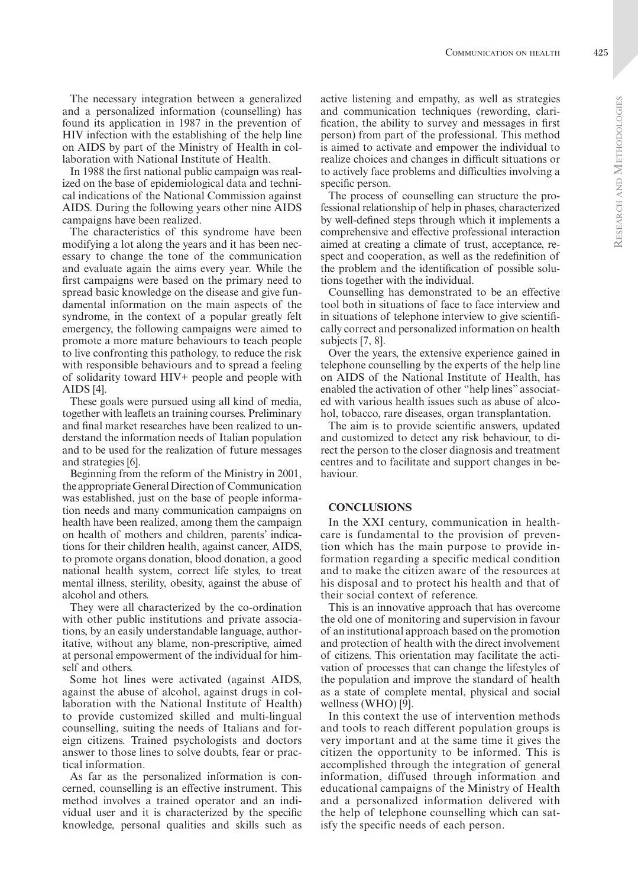The necessary integration between a generalized and a personalized information (counselling) has found its application in 1987 in the prevention of HIV infection with the establishing of the help line on AIDS by part of the Ministry of Health in collaboration with National Institute of Health.

In 1988 the first national public campaign was realized on the base of epidemiological data and technical indications of the National Commission against AIDS. During the following years other nine AIDS campaigns have been realized.

The characteristics of this syndrome have been modifying a lot along the years and it has been necessary to change the tone of the communication and evaluate again the aims every year. While the first campaigns were based on the primary need to spread basic knowledge on the disease and give fundamental information on the main aspects of the syndrome, in the context of a popular greatly felt emergency, the following campaigns were aimed to promote a more mature behaviours to teach people to live confronting this pathology, to reduce the risk with responsible behaviours and to spread a feeling of solidarity toward HIV+ people and people with AIDS [4].

These goals were pursued using all kind of media, together with leaflets an training courses. Preliminary and final market researches have been realized to understand the information needs of Italian population and to be used for the realization of future messages and strategies [6].

Beginning from the reform of the Ministry in 2001, the appropriate General Direction of Communication was established, just on the base of people information needs and many communication campaigns on health have been realized, among them the campaign on health of mothers and children, parents' indications for their children health, against cancer, AIDS, to promote organs donation, blood donation, a good national health system, correct life styles, to treat mental illness, sterility, obesity, against the abuse of alcohol and others.

They were all characterized by the co-ordination with other public institutions and private associations, by an easily understandable language, authoritative, without any blame, non-prescriptive, aimed at personal empowerment of the individual for himself and others.

Some hot lines were activated (against AIDS, against the abuse of alcohol, against drugs in collaboration with the National Institute of Health) to provide customized skilled and multi-lingual counselling, suiting the needs of Italians and foreign citizens. Trained psychologists and doctors answer to those lines to solve doubts, fear or practical information.

As far as the personalized information is concerned, counselling is an effective instrument. This method involves a trained operator and an individual user and it is characterized by the specific knowledge, personal qualities and skills such as active listening and empathy, as well as strategies and communication techniques (rewording, clarification, the ability to survey and messages in first person) from part of the professional. This method is aimed to activate and empower the individual to realize choices and changes in difficult situations or to actively face problems and difficulties involving a specific person.

The process of counselling can structure the professional relationship of help in phases, characterized by well-defined steps through which it implements a comprehensive and effective professional interaction aimed at creating a climate of trust, acceptance, respect and cooperation, as well as the redefinition of the problem and the identification of possible solutions together with the individual.

Counselling has demonstrated to be an effective tool both in situations of face to face interview and in situations of telephone interview to give scientifically correct and personalized information on health subjects [7, 8].

Over the years, the extensive experience gained in telephone counselling by the experts of the help line on AIDS of the National Institute of Health, has enabled the activation of other "help lines" associated with various health issues such as abuse of alcohol, tobacco, rare diseases, organ transplantation.

The aim is to provide scientific answers, updated and customized to detect any risk behaviour, to direct the person to the closer diagnosis and treatment centres and to facilitate and support changes in behaviour.

#### **CONCLUSIONS**

In the XXI century, communication in healthcare is fundamental to the provision of prevention which has the main purpose to provide information regarding a specific medical condition and to make the citizen aware of the resources at his disposal and to protect his health and that of their social context of reference.

This is an innovative approach that has overcome the old one of monitoring and supervision in favour of an institutional approach based on the promotion and protection of health with the direct involvement of citizens. This orientation may facilitate the activation of processes that can change the lifestyles of the population and improve the standard of health as a state of complete mental, physical and social wellness (WHO) [9].

In this context the use of intervention methods and tools to reach different population groups is very important and at the same time it gives the citizen the opportunity to be informed. This is accomplished through the integration of general information, diffused through information and educational campaigns of the Ministry of Health and a personalized information delivered with the help of telephone counselling which can satisfy the specific needs of each person.